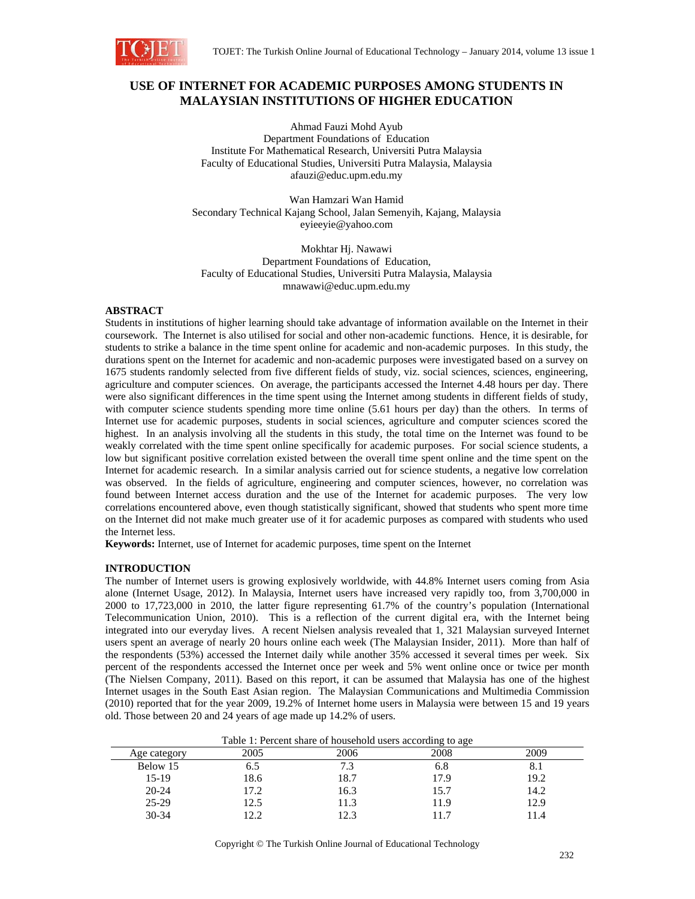

# **USE OF INTERNET FOR ACADEMIC PURPOSES AMONG STUDENTS IN MALAYSIAN INSTITUTIONS OF HIGHER EDUCATION**

Ahmad Fauzi Mohd Ayub Department Foundations of Education Institute For Mathematical Research, Universiti Putra Malaysia Faculty of Educational Studies, Universiti Putra Malaysia, Malaysia afauzi@educ.upm.edu.my

Wan Hamzari Wan Hamid Secondary Technical Kajang School, Jalan Semenyih, Kajang, Malaysia eyieeyie@yahoo.com

Mokhtar Hj. Nawawi Department Foundations of Education, Faculty of Educational Studies, Universiti Putra Malaysia, Malaysia mnawawi@educ.upm.edu.my

## **ABSTRACT**

Students in institutions of higher learning should take advantage of information available on the Internet in their coursework. The Internet is also utilised for social and other non-academic functions. Hence, it is desirable, for students to strike a balance in the time spent online for academic and non-academic purposes. In this study, the durations spent on the Internet for academic and non-academic purposes were investigated based on a survey on 1675 students randomly selected from five different fields of study, viz. social sciences, sciences, engineering, agriculture and computer sciences. On average, the participants accessed the Internet 4.48 hours per day. There were also significant differences in the time spent using the Internet among students in different fields of study, with computer science students spending more time online (5.61 hours per day) than the others. In terms of Internet use for academic purposes, students in social sciences, agriculture and computer sciences scored the highest. In an analysis involving all the students in this study, the total time on the Internet was found to be weakly correlated with the time spent online specifically for academic purposes. For social science students, a low but significant positive correlation existed between the overall time spent online and the time spent on the Internet for academic research. In a similar analysis carried out for science students, a negative low correlation was observed. In the fields of agriculture, engineering and computer sciences, however, no correlation was found between Internet access duration and the use of the Internet for academic purposes. The very low correlations encountered above, even though statistically significant, showed that students who spent more time on the Internet did not make much greater use of it for academic purposes as compared with students who used the Internet less.

**Keywords:** Internet, use of Internet for academic purposes, time spent on the Internet

## **INTRODUCTION**

The number of Internet users is growing explosively worldwide, with 44.8% Internet users coming from Asia alone (Internet Usage, 2012). In Malaysia, Internet users have increased very rapidly too, from 3,700,000 in 2000 to 17,723,000 in 2010, the latter figure representing 61.7% of the country's population (International Telecommunication Union, 2010). This is a reflection of the current digital era, with the Internet being integrated into our everyday lives. A recent Nielsen analysis revealed that 1, 321 Malaysian surveyed Internet users spent an average of nearly 20 hours online each week (The Malaysian Insider, 2011). More than half of the respondents (53%) accessed the Internet daily while another 35% accessed it several times per week. Six percent of the respondents accessed the Internet once per week and 5% went online once or twice per month (The Nielsen Company, 2011). Based on this report, it can be assumed that Malaysia has one of the highest Internet usages in the South East Asian region. The Malaysian Communications and Multimedia Commission (2010) reported that for the year 2009, 19.2% of Internet home users in Malaysia were between 15 and 19 years old. Those between 20 and 24 years of age made up 14.2% of users.

Table 1: Percent share of household users according to age

| Age category | 2005 | 2006 | 2008 | 2009 |
|--------------|------|------|------|------|
| Below 15     | 6.J  |      | 6.8  | 0.1  |
| $15-19$      | 18.6 | 18.7 | 17.9 | 19.2 |
| $20 - 24$    | 17.2 | 16.3 | 15.7 | 14.2 |
| 25-29        | 12.5 | 11.3 | 11.9 | 12.9 |
| 30-34        | າ າ  |      |      | 4. 1 |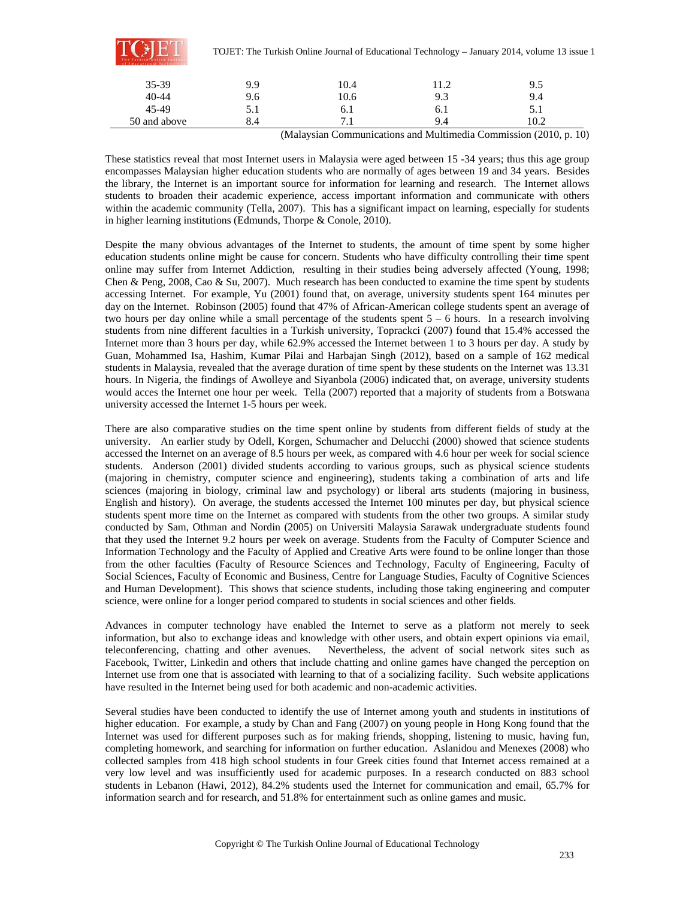|              |      |      |      | TOJET: The Turkish Online Journal of Educational Technology – January 2014, volume 13 issue 1 |  |
|--------------|------|------|------|-----------------------------------------------------------------------------------------------|--|
| 35-39        | 9.9  | 10.4 | 11.2 | 9.5                                                                                           |  |
| $40 - 44$    | 9.6  | 10.6 | 9.3  | 9.4                                                                                           |  |
| 45-49        | 5. I | 6.1  | 6.1  | 5.1                                                                                           |  |
| 50 and above | 8.4  |      | 9.4  | 10.2                                                                                          |  |

(Malaysian Communications and Multimedia Commission (2010, p. 10)

These statistics reveal that most Internet users in Malaysia were aged between 15 -34 years; thus this age group encompasses Malaysian higher education students who are normally of ages between 19 and 34 years. Besides the library, the Internet is an important source for information for learning and research. The Internet allows students to broaden their academic experience, access important information and communicate with others within the academic community (Tella, 2007). This has a significant impact on learning, especially for students in higher learning institutions (Edmunds, Thorpe & Conole, 2010).

Despite the many obvious advantages of the Internet to students, the amount of time spent by some higher education students online might be cause for concern. Students who have difficulty controlling their time spent online may suffer from Internet Addiction, resulting in their studies being adversely affected (Young, 1998; Chen & Peng, 2008, Cao & Su, 2007). Much research has been conducted to examine the time spent by students accessing Internet. For example, Yu (2001) found that, on average, university students spent 164 minutes per day on the Internet. Robinson (2005) found that 47% of African-American college students spent an average of two hours per day online while a small percentage of the students spent 5 – 6 hours. In a research involving students from nine different faculties in a Turkish university, Toprackci (2007) found that 15.4% accessed the Internet more than 3 hours per day, while 62.9% accessed the Internet between 1 to 3 hours per day. A study by Guan, Mohammed Isa, Hashim, Kumar Pilai and Harbajan Singh (2012), based on a sample of 162 medical students in Malaysia, revealed that the average duration of time spent by these students on the Internet was 13.31 hours. In Nigeria, the findings of Awolleye and Siyanbola (2006) indicated that, on average, university students would acces the Internet one hour per week. Tella (2007) reported that a majority of students from a Botswana university accessed the Internet 1-5 hours per week.

There are also comparative studies on the time spent online by students from different fields of study at the university. An earlier study by Odell, Korgen, Schumacher and Delucchi (2000) showed that science students accessed the Internet on an average of 8.5 hours per week, as compared with 4.6 hour per week for social science students. Anderson (2001) divided students according to various groups, such as physical science students (majoring in chemistry, computer science and engineering), students taking a combination of arts and life sciences (majoring in biology, criminal law and psychology) or liberal arts students (majoring in business, English and history). On average, the students accessed the Internet 100 minutes per day, but physical science students spent more time on the Internet as compared with students from the other two groups. A similar study conducted by Sam, Othman and Nordin (2005) on Universiti Malaysia Sarawak undergraduate students found that they used the Internet 9.2 hours per week on average. Students from the Faculty of Computer Science and Information Technology and the Faculty of Applied and Creative Arts were found to be online longer than those from the other faculties (Faculty of Resource Sciences and Technology, Faculty of Engineering, Faculty of Social Sciences, Faculty of Economic and Business, Centre for Language Studies, Faculty of Cognitive Sciences and Human Development). This shows that science students, including those taking engineering and computer science, were online for a longer period compared to students in social sciences and other fields.

Advances in computer technology have enabled the Internet to serve as a platform not merely to seek information, but also to exchange ideas and knowledge with other users, and obtain expert opinions via email, teleconferencing, chatting and other avenues. Nevertheless, the advent of social network sites such as Facebook, Twitter, Linkedin and others that include chatting and online games have changed the perception on Internet use from one that is associated with learning to that of a socializing facility. Such website applications have resulted in the Internet being used for both academic and non-academic activities.

Several studies have been conducted to identify the use of Internet among youth and students in institutions of higher education. For example, a study by Chan and Fang (2007) on young people in Hong Kong found that the Internet was used for different purposes such as for making friends, shopping, listening to music, having fun, completing homework, and searching for information on further education. Aslanidou and Menexes (2008) who collected samples from 418 high school students in four Greek cities found that Internet access remained at a very low level and was insufficiently used for academic purposes. In a research conducted on 883 school students in Lebanon (Hawi, 2012), 84.2% students used the Internet for communication and email, 65.7% for information search and for research, and 51.8% for entertainment such as online games and music.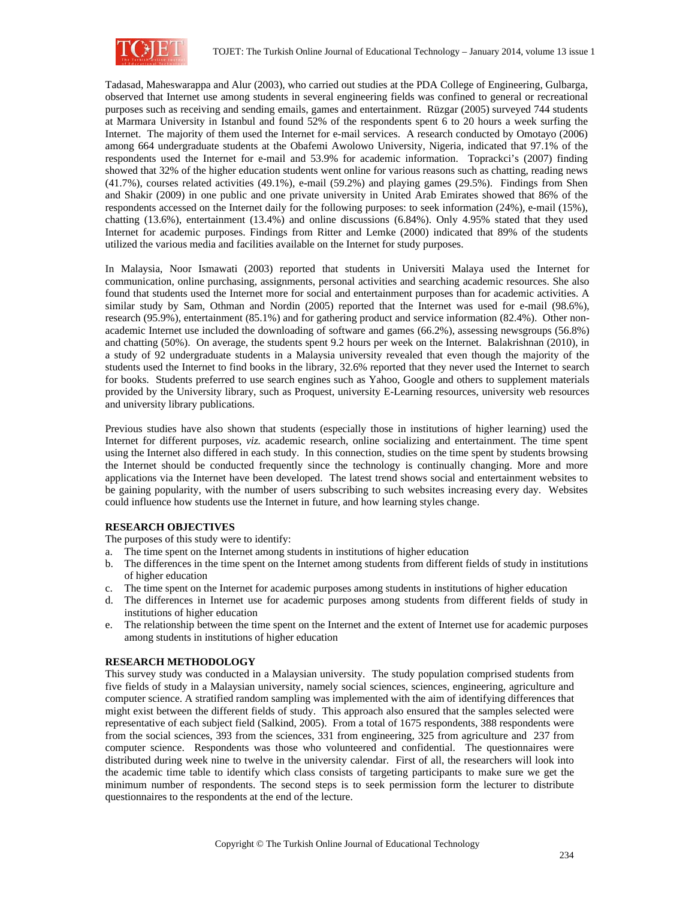

Tadasad, Maheswarappa and Alur (2003), who carried out studies at the PDA College of Engineering, Gulbarga, observed that Internet use among students in several engineering fields was confined to general or recreational purposes such as receiving and sending emails, games and entertainment. Rüzgar (2005) surveyed 744 students at Marmara University in Istanbul and found 52% of the respondents spent 6 to 20 hours a week surfing the Internet. The majority of them used the Internet for e-mail services. A research conducted by Omotayo (2006) among 664 undergraduate students at the Obafemi Awolowo University, Nigeria, indicated that 97.1% of the respondents used the Internet for e-mail and 53.9% for academic information. Toprackci's (2007) finding showed that 32% of the higher education students went online for various reasons such as chatting, reading news (41.7%), courses related activities (49.1%), e-mail (59.2%) and playing games (29.5%). Findings from Shen and Shakir (2009) in one public and one private university in United Arab Emirates showed that 86% of the respondents accessed on the Internet daily for the following purposes: to seek information (24%), e-mail (15%), chatting (13.6%), entertainment (13.4%) and online discussions (6.84%). Only 4.95% stated that they used Internet for academic purposes. Findings from Ritter and Lemke (2000) indicated that 89% of the students utilized the various media and facilities available on the Internet for study purposes.

In Malaysia, Noor Ismawati (2003) reported that students in Universiti Malaya used the Internet for communication, online purchasing, assignments, personal activities and searching academic resources. She also found that students used the Internet more for social and entertainment purposes than for academic activities. A similar study by Sam, Othman and Nordin (2005) reported that the Internet was used for e-mail (98.6%), research (95.9%), entertainment (85.1%) and for gathering product and service information (82.4%). Other nonacademic Internet use included the downloading of software and games (66.2%), assessing newsgroups (56.8%) and chatting (50%). On average, the students spent 9.2 hours per week on the Internet. Balakrishnan (2010), in a study of 92 undergraduate students in a Malaysia university revealed that even though the majority of the students used the Internet to find books in the library, 32.6% reported that they never used the Internet to search for books. Students preferred to use search engines such as Yahoo, Google and others to supplement materials provided by the University library, such as Proquest, university E-Learning resources, university web resources and university library publications.

Previous studies have also shown that students (especially those in institutions of higher learning) used the Internet for different purposes, *viz.* academic research, online socializing and entertainment. The time spent using the Internet also differed in each study. In this connection, studies on the time spent by students browsing the Internet should be conducted frequently since the technology is continually changing. More and more applications via the Internet have been developed. The latest trend shows social and entertainment websites to be gaining popularity, with the number of users subscribing to such websites increasing every day. Websites could influence how students use the Internet in future, and how learning styles change.

## **RESEARCH OBJECTIVES**

The purposes of this study were to identify:

- a. The time spent on the Internet among students in institutions of higher education
- b. The differences in the time spent on the Internet among students from different fields of study in institutions of higher education
- c. The time spent on the Internet for academic purposes among students in institutions of higher education
- d. The differences in Internet use for academic purposes among students from different fields of study in institutions of higher education
- e. The relationship between the time spent on the Internet and the extent of Internet use for academic purposes among students in institutions of higher education

## **RESEARCH METHODOLOGY**

This survey study was conducted in a Malaysian university. The study population comprised students from five fields of study in a Malaysian university, namely social sciences, sciences, engineering, agriculture and computer science. A stratified random sampling was implemented with the aim of identifying differences that might exist between the different fields of study. This approach also ensured that the samples selected were representative of each subject field (Salkind, 2005). From a total of 1675 respondents, 388 respondents were from the social sciences, 393 from the sciences, 331 from engineering, 325 from agriculture and 237 from computer science. Respondents was those who volunteered and confidential. The questionnaires were distributed during week nine to twelve in the university calendar. First of all, the researchers will look into the academic time table to identify which class consists of targeting participants to make sure we get the minimum number of respondents. The second steps is to seek permission form the lecturer to distribute questionnaires to the respondents at the end of the lecture.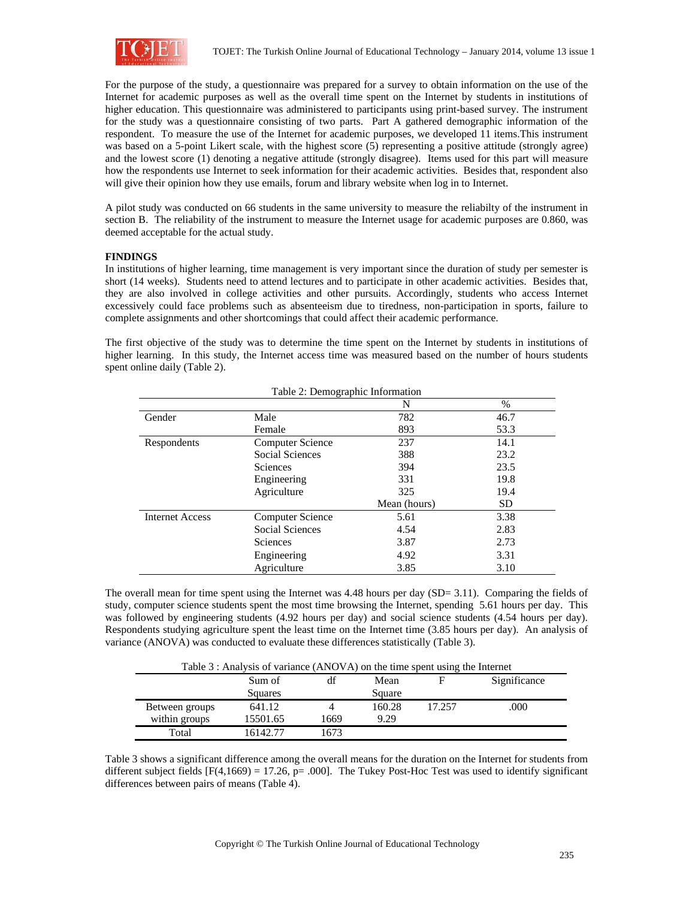

For the purpose of the study, a questionnaire was prepared for a survey to obtain information on the use of the Internet for academic purposes as well as the overall time spent on the Internet by students in institutions of higher education. This questionnaire was administered to participants using print-based survey. The instrument for the study was a questionnaire consisting of two parts. Part A gathered demographic information of the respondent. To measure the use of the Internet for academic purposes, we developed 11 items.This instrument was based on a 5-point Likert scale, with the highest score (5) representing a positive attitude (strongly agree) and the lowest score (1) denoting a negative attitude (strongly disagree). Items used for this part will measure how the respondents use Internet to seek information for their academic activities. Besides that, respondent also will give their opinion how they use emails, forum and library website when log in to Internet.

A pilot study was conducted on 66 students in the same university to measure the reliabilty of the instrument in section B. The reliability of the instrument to measure the Internet usage for academic purposes are 0.860, was deemed acceptable for the actual study.

## **FINDINGS**

In institutions of higher learning, time management is very important since the duration of study per semester is short (14 weeks). Students need to attend lectures and to participate in other academic activities. Besides that, they are also involved in college activities and other pursuits. Accordingly, students who access Internet excessively could face problems such as absenteeism due to tiredness, non-participation in sports, failure to complete assignments and other shortcomings that could affect their academic performance.

The first objective of the study was to determine the time spent on the Internet by students in institutions of higher learning. In this study, the Internet access time was measured based on the number of hours students spent online daily (Table 2).

|                        | Table 2: Demographic Information |              |           |
|------------------------|----------------------------------|--------------|-----------|
|                        |                                  | N            | %         |
| Gender                 | Male                             | 782          | 46.7      |
|                        | Female                           | 893          | 53.3      |
| Respondents            | <b>Computer Science</b>          | 237          | 14.1      |
|                        | <b>Social Sciences</b>           | 388          | 23.2      |
|                        | <b>Sciences</b>                  | 394          | 23.5      |
|                        | Engineering                      | 331          | 19.8      |
|                        | Agriculture                      | 325          | 19.4      |
|                        |                                  | Mean (hours) | <b>SD</b> |
| <b>Internet Access</b> | <b>Computer Science</b>          | 5.61         | 3.38      |
|                        | Social Sciences                  | 4.54         | 2.83      |
|                        | <b>Sciences</b>                  | 3.87         | 2.73      |
|                        | Engineering                      | 4.92         | 3.31      |
|                        | Agriculture                      | 3.85         | 3.10      |

The overall mean for time spent using the Internet was 4.48 hours per day (SD= 3.11). Comparing the fields of study, computer science students spent the most time browsing the Internet, spending 5.61 hours per day. This was followed by engineering students (4.92 hours per day) and social science students (4.54 hours per day). Respondents studying agriculture spent the least time on the Internet time (3.85 hours per day). An analysis of variance (ANOVA) was conducted to evaluate these differences statistically (Table 3).

| Table 3 : Analysis of variance (ANOVA) on the time spent using the Internet |          |      |        |        |              |  |
|-----------------------------------------------------------------------------|----------|------|--------|--------|--------------|--|
|                                                                             | Sum of   | df   | Mean   | F      | Significance |  |
|                                                                             | Squares  |      | Square |        |              |  |
| Between groups                                                              | 641.12   |      | 160.28 | 17.257 | .000         |  |
| within groups                                                               | 15501.65 | 1669 | 9.29   |        |              |  |
| Total                                                                       | 16142.77 | 1673 |        |        |              |  |

Table 3 shows a significant difference among the overall means for the duration on the Internet for students from different subject fields  $[F(4,1669) = 17.26, p = .000]$ . The Tukey Post-Hoc Test was used to identify significant differences between pairs of means (Table 4).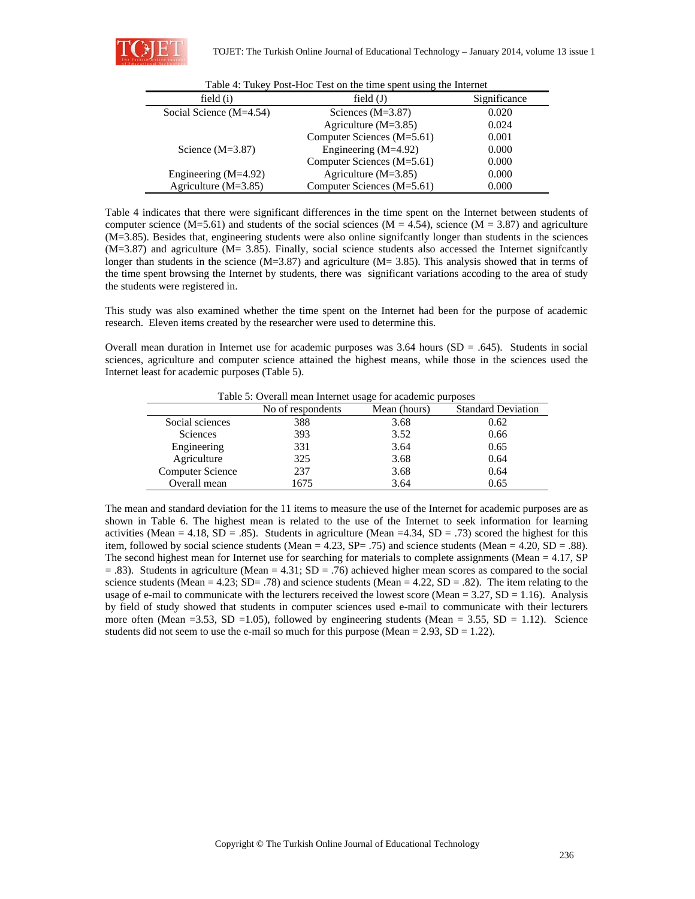

| field $(i)$               | field $(J)$                | Significance |
|---------------------------|----------------------------|--------------|
| Social Science $(M=4.54)$ | Sciences $(M=3.87)$        | 0.020        |
|                           | Agriculture $(M=3.85)$     | 0.024        |
|                           | Computer Sciences (M=5.61) | 0.001        |
| Science $(M=3.87)$        | Engineering $(M=4.92)$     | 0.000        |
|                           | Computer Sciences (M=5.61) | 0.000        |
| Engineering $(M=4.92)$    | Agriculture $(M=3.85)$     | 0.000        |
| Agriculture $(M=3.85)$    | Computer Sciences (M=5.61) | 0.000        |

|  |  |  | Table 4: Tukey Post-Hoc Test on the time spent using the Internet |
|--|--|--|-------------------------------------------------------------------|
|  |  |  |                                                                   |

Table 4 indicates that there were significant differences in the time spent on the Internet between students of computer science (M=5.61) and students of the social sciences (M = 4.54), science (M = 3.87) and agriculture (M=3.85). Besides that, engineering students were also online signifcantly longer than students in the sciences (M=3.87) and agriculture (M= 3.85). Finally, social science students also accessed the Internet signifcantly longer than students in the science ( $M=3.87$ ) and agriculture ( $M=3.85$ ). This analysis showed that in terms of the time spent browsing the Internet by students, there was significant variations accoding to the area of study the students were registered in.

This study was also examined whether the time spent on the Internet had been for the purpose of academic research. Eleven items created by the researcher were used to determine this.

Overall mean duration in Internet use for academic purposes was  $3.64$  hours (SD = .645). Students in social sciences, agriculture and computer science attained the highest means, while those in the sciences used the Internet least for academic purposes (Table 5).

| Tuble 3: 0 Term mean miernet abage for academic parposes |                   |              |                           |  |  |  |
|----------------------------------------------------------|-------------------|--------------|---------------------------|--|--|--|
|                                                          | No of respondents | Mean (hours) | <b>Standard Deviation</b> |  |  |  |
| Social sciences                                          | 388               | 3.68         | 0.62                      |  |  |  |
| <b>Sciences</b>                                          | 393               | 3.52         | 0.66                      |  |  |  |
| Engineering                                              | 331               | 3.64         | 0.65                      |  |  |  |
| Agriculture                                              | 325               | 3.68         | 0.64                      |  |  |  |
| Computer Science                                         | 237               | 3.68         | 0.64                      |  |  |  |
| Overall mean                                             | 1675              | 3.64         | 0.65                      |  |  |  |
|                                                          |                   |              |                           |  |  |  |

Table 5: Overall mean Internet usage for academic purposes

The mean and standard deviation for the 11 items to measure the use of the Internet for academic purposes are as shown in Table 6. The highest mean is related to the use of the Internet to seek information for learning activities (Mean = 4.18, SD = .85). Students in agriculture (Mean = 4.34, SD = .73) scored the highest for this item, followed by social science students (Mean = 4.23, SP= .75) and science students (Mean = 4.20, SD = .88). The second highest mean for Internet use for searching for materials to complete assignments (Mean  $= 4.17$ , SP  $=$  .83). Students in agriculture (Mean  $=$  4.31; SD  $=$  .76) achieved higher mean scores as compared to the social science students (Mean =  $4.23$ ; SD= .78) and science students (Mean =  $4.22$ , SD = .82). The item relating to the usage of e-mail to communicate with the lecturers received the lowest score (Mean =  $3.27$ , SD = 1.16). Analysis by field of study showed that students in computer sciences used e-mail to communicate with their lecturers more often (Mean =3.53, SD =1.05), followed by engineering students (Mean = 3.55, SD = 1.12). Science students did not seem to use the e-mail so much for this purpose (Mean  $= 2.93$ , SD  $= 1.22$ ).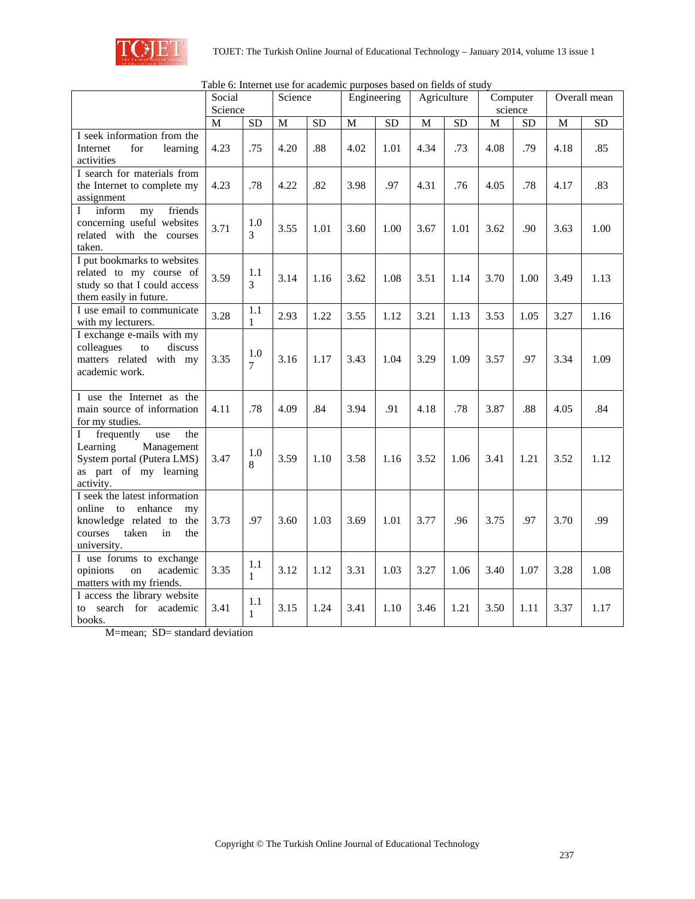

|                                                                                                                                            | Table 6: Internet use for academic purposes based on fields of study |                     |                                    |                 |              |                 |              |           |      |           |      |           |
|--------------------------------------------------------------------------------------------------------------------------------------------|----------------------------------------------------------------------|---------------------|------------------------------------|-----------------|--------------|-----------------|--------------|-----------|------|-----------|------|-----------|
|                                                                                                                                            | Social<br>Science<br>Engineering<br>Science                          |                     | Agriculture<br>Computer<br>science |                 |              | Overall mean    |              |           |      |           |      |           |
|                                                                                                                                            | M                                                                    | SD                  | $\mathbf M$                        | $\overline{SD}$ | $\mathbf{M}$ | $\overline{SD}$ | $\mathbf{M}$ | <b>SD</b> | M    | <b>SD</b> | M    | <b>SD</b> |
| I seek information from the<br>for<br>Internet<br>learning<br>activities                                                                   | 4.23                                                                 | .75                 | 4.20                               | .88             | 4.02         | 1.01            | 4.34         | .73       | 4.08 | .79       | 4.18 | .85       |
| I search for materials from<br>the Internet to complete my<br>assignment                                                                   | 4.23                                                                 | .78                 | 4.22                               | .82             | 3.98         | .97             | 4.31         | .76       | 4.05 | .78       | 4.17 | .83       |
| $\mathbf I$<br>inform<br>friends<br>my<br>concerning useful websites<br>related with the courses<br>taken.                                 | 3.71                                                                 | 1.0<br>3            | 3.55                               | 1.01            | 3.60         | 1.00            | 3.67         | 1.01      | 3.62 | .90       | 3.63 | 1.00      |
| I put bookmarks to websites<br>related to my course of<br>study so that I could access<br>them easily in future.                           | 3.59                                                                 | 1.1<br>3            | 3.14                               | 1.16            | 3.62         | 1.08            | 3.51         | 1.14      | 3.70 | 1.00      | 3.49 | 1.13      |
| I use email to communicate<br>with my lecturers.                                                                                           | 3.28                                                                 | 1.1<br>1            | 2.93                               | 1.22            | 3.55         | 1.12            | 3.21         | 1.13      | 3.53 | 1.05      | 3.27 | 1.16      |
| I exchange e-mails with my<br>colleagues<br>discuss<br>to<br>matters related with my<br>academic work.                                     | 3.35                                                                 | 1.0<br>7            | 3.16                               | 1.17            | 3.43         | 1.04            | 3.29         | 1.09      | 3.57 | .97       | 3.34 | 1.09      |
| I use the Internet as the<br>main source of information<br>for my studies.                                                                 | 4.11                                                                 | .78                 | 4.09                               | .84             | 3.94         | .91             | 4.18         | .78       | 3.87 | .88       | 4.05 | .84       |
| I<br>frequently<br>the<br>use<br>Management<br>Learning<br>System portal (Putera LMS)<br>as part of my learning<br>activity.               | 3.47                                                                 | 1.0<br>8            | 3.59                               | 1.10            | 3.58         | 1.16            | 3.52         | 1.06      | 3.41 | 1.21      | 3.52 | 1.12      |
| I seek the latest information<br>online<br>enhance<br>to<br>my<br>knowledge related to the<br>taken<br>courses<br>in<br>the<br>university. | 3.73                                                                 | .97                 | 3.60                               | 1.03            | 3.69         | 1.01            | 3.77         | .96       | 3.75 | .97       | 3.70 | .99       |
| I use forums to exchange<br>opinions<br>academic<br>on<br>matters with my friends.                                                         | 3.35                                                                 | 1.1<br>$\mathbf{1}$ | 3.12                               | 1.12            | 3.31         | 1.03            | 3.27         | 1.06      | 3.40 | 1.07      | 3.28 | 1.08      |
| I access the library website<br>search<br>for academic<br>to<br>books.                                                                     | 3.41                                                                 | 1.1<br>$\mathbf{1}$ | 3.15                               | 1.24            | 3.41         | 1.10            | 3.46         | 1.21      | 3.50 | 1.11      | 3.37 | 1.17      |

Table 6: Internet use for academic purposes based on fields of study

M=mean; SD= standard deviation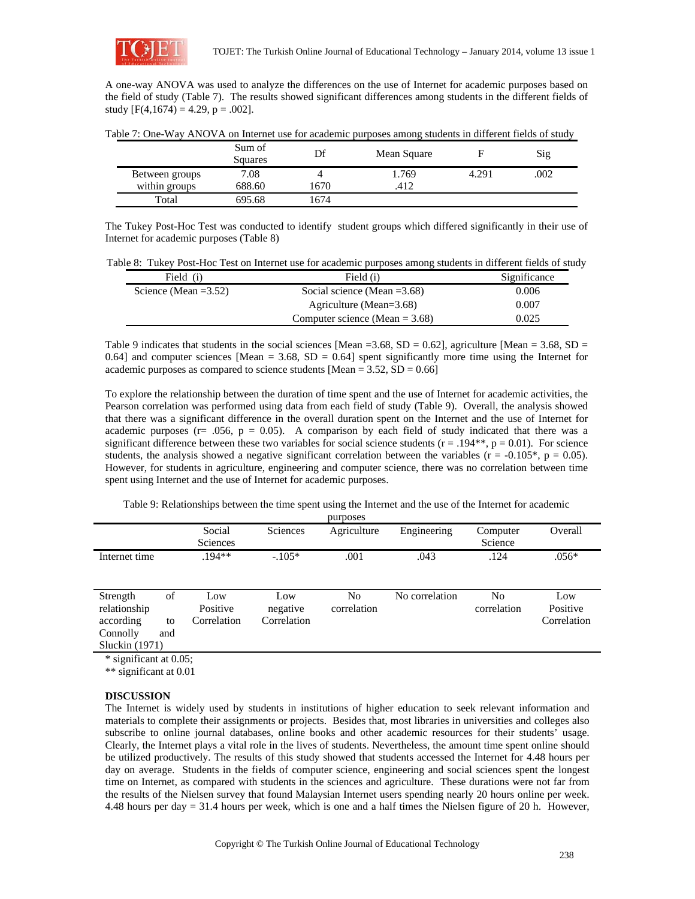

A one-way ANOVA was used to analyze the differences on the use of Internet for academic purposes based on the field of study (Table 7). The results showed significant differences among students in the different fields of study  $[F(4,1674) = 4.29, p = .002]$ .

|  | Table 7: One-Way ANOVA on Internet use for academic purposes among students in different fields of study |
|--|----------------------------------------------------------------------------------------------------------|
|  |                                                                                                          |

|                | Sum of<br>Squares |      | Mean Square |       | Sig |
|----------------|-------------------|------|-------------|-------|-----|
| Between groups | 7.08              |      | 1.769       | 4.291 | 002 |
| within groups  | 688.60            | 1670 | .417        |       |     |
| Total          | 695.68            | 1674 |             |       |     |

The Tukey Post-Hoc Test was conducted to identify student groups which differed significantly in their use of Internet for academic purposes (Table 8)

| Field (i)               | Field (i)                         | Significance |
|-------------------------|-----------------------------------|--------------|
| Science (Mean $=3.52$ ) | Social science (Mean $=3.68$ )    | 0.006        |
|                         | Agriculture (Mean= $3.68$ )       | 0.007        |
|                         | Computer science (Mean $= 3.68$ ) | 0.025        |

Table 9 indicates that students in the social sciences [Mean = 3.68, SD = 0.62], agriculture [Mean = 3.68, SD = 0.64] and computer sciences [Mean =  $3.68$ , SD = 0.64] spent significantly more time using the Internet for academic purposes as compared to science students  $[Mean = 3.52, SD = 0.66]$ 

To explore the relationship between the duration of time spent and the use of Internet for academic activities, the Pearson correlation was performed using data from each field of study (Table 9). Overall, the analysis showed that there was a significant difference in the overall duration spent on the Internet and the use of Internet for academic purposes ( $r = .056$ ,  $p = 0.05$ ). A comparison by each field of study indicated that there was a significant difference between these two variables for social science students ( $r = .194**$ ,  $p = 0.01$ ). For science students, the analysis showed a negative significant correlation between the variables ( $r = -0.105^*$ ,  $p = 0.05$ ). However, for students in agriculture, engineering and computer science, there was no correlation between time spent using Internet and the use of Internet for academic purposes.

Table 9: Relationships between the time spent using the Internet and the use of the Internet for academic

| purposes         |     |                 |                 |             |                |             |             |
|------------------|-----|-----------------|-----------------|-------------|----------------|-------------|-------------|
|                  |     | Social          | <b>Sciences</b> | Agriculture | Engineering    | Computer    | Overall     |
|                  |     | <b>Sciences</b> |                 |             |                | Science     |             |
| Internet time    |     | $.194**$        | $-.105*$        | .001        | .043           | .124        | $.056*$     |
|                  |     |                 |                 |             |                |             |             |
|                  |     |                 |                 |             |                |             |             |
| Strength         | of  | Low             | Low             | No          | No correlation | No          | Low         |
| relationship     |     | Positive        | negative        | correlation |                | correlation | Positive    |
| according        | to  | Correlation     | Correlation     |             |                |             | Correlation |
| Connolly         | and |                 |                 |             |                |             |             |
| Sluckin $(1971)$ |     |                 |                 |             |                |             |             |

\* significant at 0.05;

\*\* significant at 0.01

## **DISCUSSION**

The Internet is widely used by students in institutions of higher education to seek relevant information and materials to complete their assignments or projects. Besides that, most libraries in universities and colleges also subscribe to online journal databases, online books and other academic resources for their students' usage. Clearly, the Internet plays a vital role in the lives of students. Nevertheless, the amount time spent online should be utilized productively. The results of this study showed that students accessed the Internet for 4.48 hours per day on average. Students in the fields of computer science, engineering and social sciences spent the longest time on Internet, as compared with students in the sciences and agriculture. These durations were not far from the results of the Nielsen survey that found Malaysian Internet users spending nearly 20 hours online per week. 4.48 hours per day = 31.4 hours per week, which is one and a half times the Nielsen figure of 20 h. However,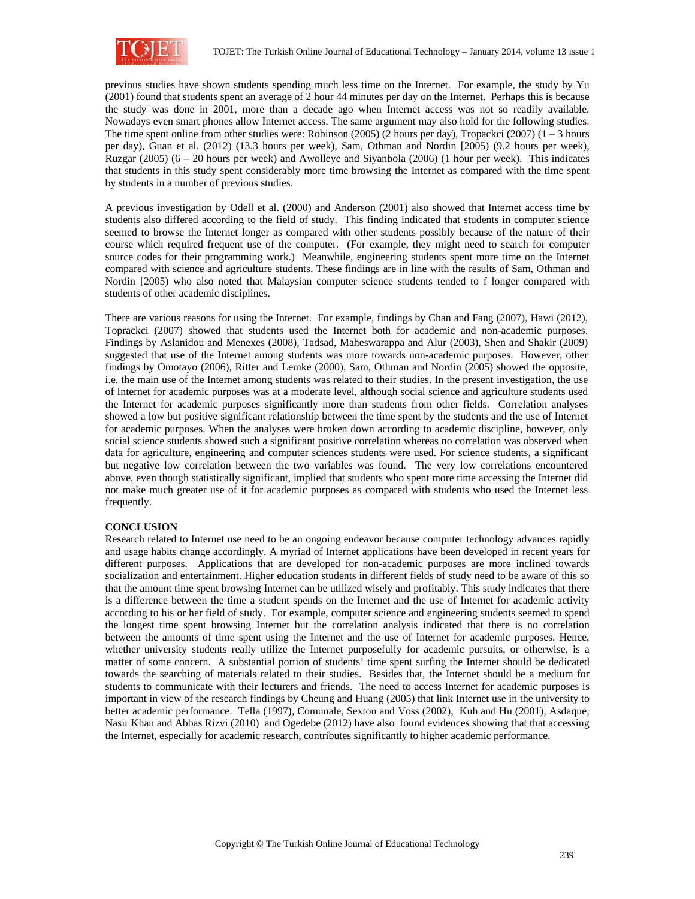

previous studies have shown students spending much less time on the Internet. For example, the study by Yu (2001) found that students spent an average of 2 hour 44 minutes per day on the Internet. Perhaps this is because the study was done in 2001, more than a decade ago when Internet access was not so readily available. Nowadays even smart phones allow Internet access. The same argument may also hold for the following studies. The time spent online from other studies were: Robinson (2005) (2 hours per day), Tropackci (2007) ( $1 - 3$  hours per day), Guan et al. (2012) (13.3 hours per week), Sam, Othman and Nordin [2005) (9.2 hours per week), Ruzgar (2005) (6 – 20 hours per week) and Awolleye and Siyanbola (2006) (1 hour per week). This indicates that students in this study spent considerably more time browsing the Internet as compared with the time spent by students in a number of previous studies.

A previous investigation by Odell et al. (2000) and Anderson (2001) also showed that Internet access time by students also differed according to the field of study. This finding indicated that students in computer science seemed to browse the Internet longer as compared with other students possibly because of the nature of their course which required frequent use of the computer. (For example, they might need to search for computer source codes for their programming work.) Meanwhile, engineering students spent more time on the Internet compared with science and agriculture students. These findings are in line with the results of Sam, Othman and Nordin [2005) who also noted that Malaysian computer science students tended to f longer compared with students of other academic disciplines.

There are various reasons for using the Internet. For example, findings by Chan and Fang (2007), Hawi (2012), Toprackci (2007) showed that students used the Internet both for academic and non-academic purposes. Findings by Aslanidou and Menexes (2008), Tadsad, Maheswarappa and Alur (2003), Shen and Shakir (2009) suggested that use of the Internet among students was more towards non-academic purposes. However, other findings by Omotayo (2006), Ritter and Lemke (2000), Sam, Othman and Nordin (2005) showed the opposite, i.e. the main use of the Internet among students was related to their studies. In the present investigation, the use of Internet for academic purposes was at a moderate level, although social science and agriculture students used the Internet for academic purposes significantly more than students from other fields. Correlation analyses showed a low but positive significant relationship between the time spent by the students and the use of Internet for academic purposes. When the analyses were broken down according to academic discipline, however, only social science students showed such a significant positive correlation whereas no correlation was observed when data for agriculture, engineering and computer sciences students were used. For science students, a significant but negative low correlation between the two variables was found. The very low correlations encountered above, even though statistically significant, implied that students who spent more time accessing the Internet did not make much greater use of it for academic purposes as compared with students who used the Internet less frequently.

## **CONCLUSION**

Research related to Internet use need to be an ongoing endeavor because computer technology advances rapidly and usage habits change accordingly. A myriad of Internet applications have been developed in recent years for different purposes. Applications that are developed for non-academic purposes are more inclined towards socialization and entertainment. Higher education students in different fields of study need to be aware of this so that the amount time spent browsing Internet can be utilized wisely and profitably. This study indicates that there is a difference between the time a student spends on the Internet and the use of Internet for academic activity according to his or her field of study. For example, computer science and engineering students seemed to spend the longest time spent browsing Internet but the correlation analysis indicated that there is no correlation between the amounts of time spent using the Internet and the use of Internet for academic purposes. Hence, whether university students really utilize the Internet purposefully for academic pursuits, or otherwise, is a matter of some concern. A substantial portion of students' time spent surfing the Internet should be dedicated towards the searching of materials related to their studies. Besides that, the Internet should be a medium for students to communicate with their lecturers and friends. The need to access Internet for academic purposes is important in view of the research findings by Cheung and Huang (2005) that link Internet use in the university to better academic performance. Tella (1997), Comunale, Sexton and Voss (2002), Kuh and Hu (2001), Asdaque, Nasir Khan and Abbas Rizvi (2010) and Ogedebe (2012) have also found evidences showing that that accessing the Internet, especially for academic research, contributes significantly to higher academic performance.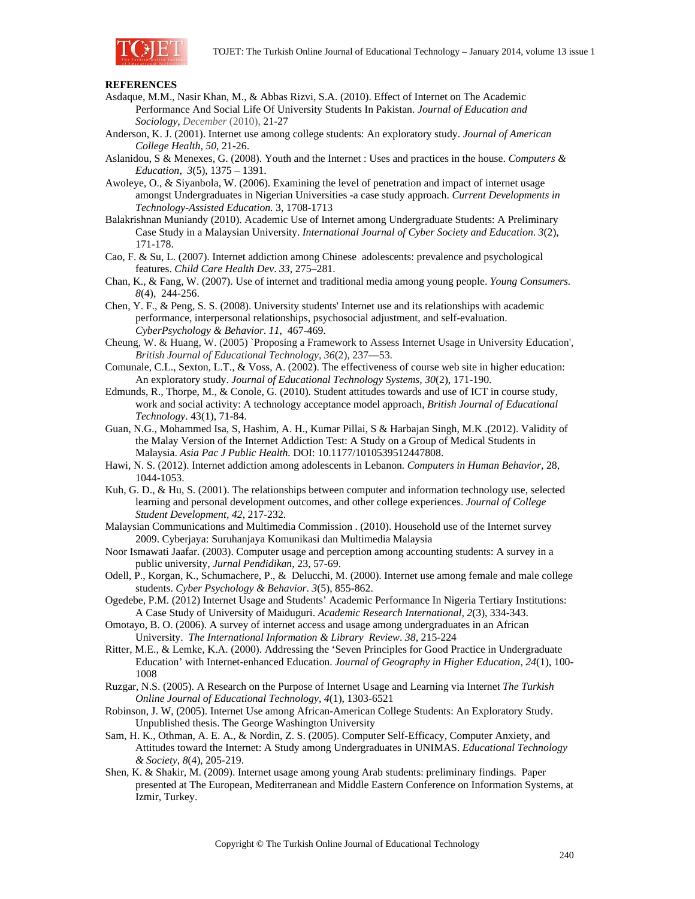

### **REFERENCES**

- Asdaque, M.M., Nasir Khan, M., & Abbas Rizvi, S.A. (2010). Effect of Internet on The Academic Performance And Social Life Of University Students In Pakistan. *Journal of Education and Sociology*, *December* (2010), 21-27
- Anderson, K. J. (2001). Internet use among college students: An exploratory study. *Journal of American College Health*, *50*, 21-26.
- Aslanidou, S & Menexes, G. (2008). Youth and the Internet : Uses and practices in the house. *Computers & Education*, *3*(5), 1375 – 1391.
- Awoleye, O., & Siyanbola, W. (2006). Examining the level of penetration and impact of internet usage amongst Undergraduates in Nigerian Universities -a case study approach. *Current Developments in Technology-Assisted Education.* 3, 1708-1713
- Balakrishnan Muniandy (2010). Academic Use of Internet among Undergraduate Students: A Preliminary Case Study in a Malaysian University. *International Journal of Cyber Society and Education*. *3*(2), 171-178.
- Cao, F. & Su, L. (2007). Internet addiction among Chinese adolescents: prevalence and psychological features. *Child Care Health Dev*. *33*, 275–281.
- Chan, K., & Fang, W. (2007). Use of internet and traditional media among young people. *Young Consumers. 8*(4), 244-256.
- Chen, Y. F., & Peng, S. S. (2008). University students' Internet use and its relationships with academic performance, interpersonal relationships, psychosocial adjustment, and self-evaluation. *CyberPsychology & Behavior*. *11*, 467-469.
- Cheung, W. & Huang, W. (2005) `Proposing a Framework to Assess Internet Usage in University Education', *British Journal of Educational Technology*, *36*(2), 237—53.
- Comunale, C.L., Sexton, L.T., & Voss, A. (2002). The effectiveness of course web site in higher education: An exploratory study. *Journal of Educational Technology Systems, 30*(2), 171-190.
- Edmunds, R., Thorpe, M., & Conole, G. (2010). Student attitudes towards and use of ICT in course study, work and social activity: A technology acceptance model approach*, British Journal of Educational Technology*. 43(1), 71-84.
- Guan, N.G., Mohammed Isa, S, Hashim, A. H., Kumar Pillai, S & Harbajan Singh, M.K .(2012). Validity of the Malay Version of the Internet Addiction Test: A Study on a Group of Medical Students in Malaysia. *Asia Pac J Public Health.* DOI: 10.1177/1010539512447808.
- Hawi, N. S. (2012). Internet addiction among adolescents in Lebanon*. Computers in Human Behavior,* 28, 1044-1053.
- Kuh, G. D., & Hu, S. (2001). The relationships between computer and information technology use, selected learning and personal development outcomes, and other college experiences. *Journal of College Student Development, 42*, 217-232.
- Malaysian Communications and Multimedia Commission . (2010). Household use of the Internet survey 2009. Cyberjaya: Suruhanjaya Komunikasi dan Multimedia Malaysia
- Noor Ismawati Jaafar. (2003). Computer usage and perception among accounting students: A survey in a public university, *Jurnal Pendidikan,* 23, 57-69.
- Odell, P., Korgan, K., Schumachere, P., & Delucchi, M. (2000). Internet use among female and male college students. *Cyber Psychology & Behavior*. *3*(5), 855-862.
- Ogedebe, P.M. (2012) Internet Usage and Students' Academic Performance In Nigeria Tertiary Institutions: A Case Study of University of Maiduguri. *Academic Research International*, *2*(3), 334-343.
- Omotayo, B. O. (2006). A survey of internet access and usage among undergraduates in an African University. *The International Information & Library Review*. *38*, 215-224
- Ritter, M.E., & Lemke, K.A. (2000). Addressing the 'Seven Principles for Good Practice in Undergraduate Education' with Internet-enhanced Education. *Journal of Geography in Higher Education*, *24*(1), 100- 1008
- Ruzgar, N.S. (2005). A Research on the Purpose of Internet Usage and Learning via Internet *The Turkish Online Journal of Educational Technology, 4*(1), 1303-6521
- Robinson, J. W, (2005). Internet Use among African-American College Students: An Exploratory Study. Unpublished thesis. The George Washington University
- Sam, H. K., Othman, A. E. A., & Nordin, Z. S. (2005). Computer Self-Efficacy, Computer Anxiety, and Attitudes toward the Internet: A Study among Undergraduates in UNIMAS. *Educational Technology & Society*, *8*(4), 205-219.
- Shen, K. & Shakir, M. (2009). Internet usage among young Arab students: preliminary findings. Paper presented at The European, Mediterranean and Middle Eastern Conference on Information Systems, at Izmir, Turkey.